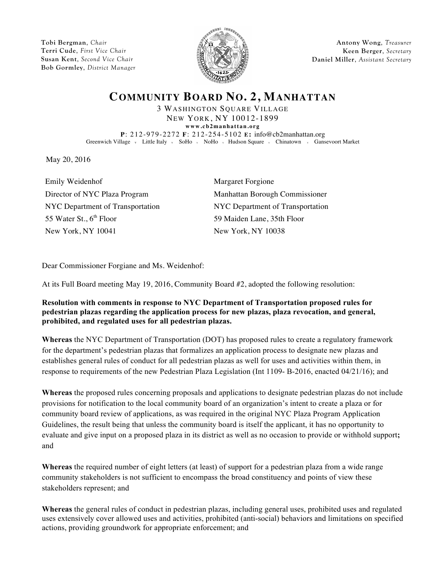**Tobi Bergman**, *Chair* **Terri Cude**, *First Vice Chair* **Susan Kent**, *Second Vice Chair* **Bob Gormley**, *District Manager*



**Antony Wong**, *Treasurer* **Keen Berger**, *Secretary* **Daniel Miller**, *Assistant Secretary*

## **COMMUNITY BOARD NO. 2, MANHATTAN**

3 WASHINGTON SQUARE VILLAGE NEW YORK, NY 10012-1899

**www.cb2manhattan.org P**: 212-979-2272 **F**: 212-254-5102 **E:** info@cb2manhattan.org Greenwich Village v Little Italy v SoHo v NoHo v Hudson Square v Chinatown v Gansevoort Market

May 20, 2016

Emily Weidenhof Margaret Forgione Director of NYC Plaza Program Manhattan Borough Commissioner NYC Department of Transportation NYC Department of Transportation 55 Water St., 6<sup>th</sup> Floor 59 Maiden Lane, 35th Floor New York, NY 10041 New York, NY 10038

Dear Commissioner Forgiane and Ms. Weidenhof:

At its Full Board meeting May 19, 2016, Community Board #2, adopted the following resolution:

## **Resolution with comments in response to NYC Department of Transportation proposed rules for pedestrian plazas regarding the application process for new plazas, plaza revocation, and general, prohibited, and regulated uses for all pedestrian plazas.**

**Whereas** the NYC Department of Transportation (DOT) has proposed rules to create a regulatory framework for the department's pedestrian plazas that formalizes an application process to designate new plazas and establishes general rules of conduct for all pedestrian plazas as well for uses and activities within them, in response to requirements of the new Pedestrian Plaza Legislation (Int 1109- B-2016, enacted 04/21/16); and

**Whereas** the proposed rules concerning proposals and applications to designate pedestrian plazas do not include provisions for notification to the local community board of an organization's intent to create a plaza or for community board review of applications, as was required in the original NYC Plaza Program Application Guidelines, the result being that unless the community board is itself the applicant, it has no opportunity to evaluate and give input on a proposed plaza in its district as well as no occasion to provide or withhold support**;** and

**Whereas** the required number of eight letters (at least) of support for a pedestrian plaza from a wide range community stakeholders is not sufficient to encompass the broad constituency and points of view these stakeholders represent; and

**Whereas** the general rules of conduct in pedestrian plazas, including general uses, prohibited uses and regulated uses extensively cover allowed uses and activities, prohibited (anti-social) behaviors and limitations on specified actions, providing groundwork for appropriate enforcement; and